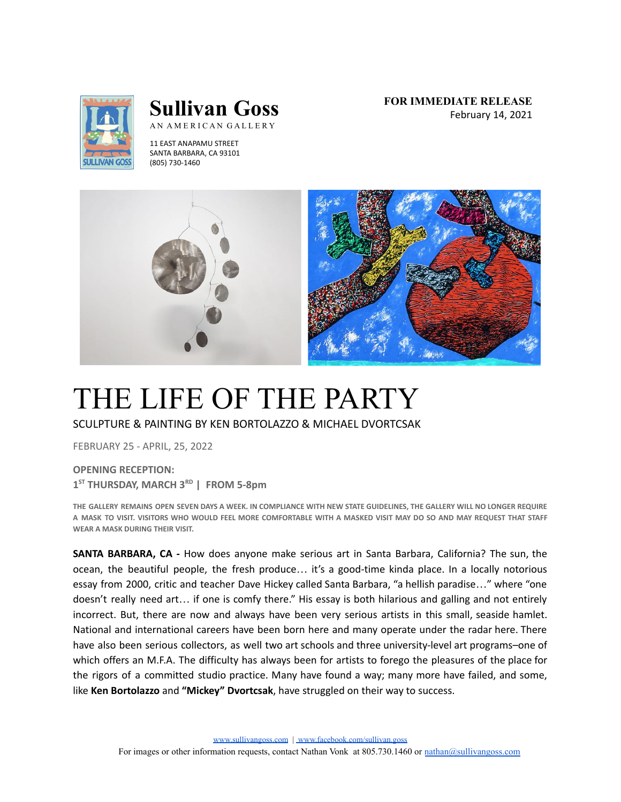

# **Sullivan Goss** AN AMERICAN GALLERY

11 EAST ANAPAMU STREET SANTA BARBARA, CA 93101 (805) 730-1460

**FOR IMMEDIATE RELEASE** February 14, 2021



# THE LIFE OF THE PARTY

SCULPTURE & PAINTING BY KEN BORTOLAZZO & MICHAEL DVORTCSAK

FEBRUARY 25 - APRIL, 25, 2022

**OPENING RECEPTION: 1 ST THURSDAY, MARCH 3 RD | FROM 5-8pm**

THE GALLERY REMAINS OPEN SEVEN DAYS A WEEK. IN COMPLIANCE WITH NEW STATE GUIDELINES. THE GALLERY WILL NO LONGER REQUIRE A MASK TO VISIT. VISITORS WHO WOULD FEEL MORE COMFORTABLE WITH A MASKED VISIT MAY DO SO AND MAY REQUEST THAT STAFF **WEAR A MASK DURING THEIR VISIT.**

**SANTA BARBARA, CA -** How does anyone make serious art in Santa Barbara, California? The sun, the ocean, the beautiful people, the fresh produce… it's a good-time kinda place. In a locally notorious essay from 2000, critic and teacher Dave Hickey called Santa Barbara, "a hellish paradise…" where "one doesn't really need art… if one is comfy there." His essay is both hilarious and galling and not entirely incorrect. But, there are now and always have been very serious artists in this small, seaside hamlet. National and international careers have been born here and many operate under the radar here. There have also been serious collectors, as well two art schools and three university-level art programs–one of which offers an M.F.A. The difficulty has always been for artists to forego the pleasures of the place for the rigors of a committed studio practice. Many have found a way; many more have failed, and some, like **Ken Bortolazzo** and **"Mickey" Dvortcsak**, have struggled on their way to success.